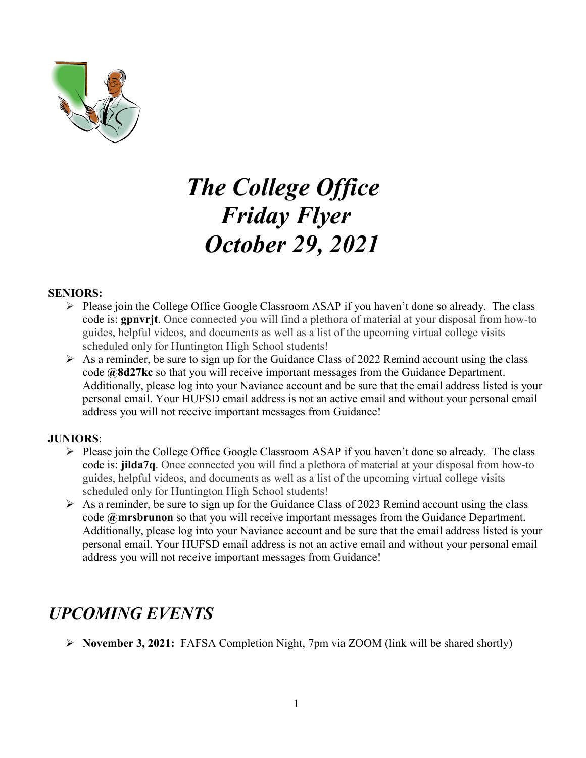

# *The College Office Friday Flyer October 29, 2021*

#### **SENIORS:**

- $\triangleright$  Please join the College Office Google Classroom ASAP if you haven't done so already. The class code is: **gpnvrjt**. Once connected you will find a plethora of material at your disposal from how-to guides, helpful videos, and documents as well as a list of the upcoming virtual college visits scheduled only for Huntington High School students!
- $\triangleright$  As a reminder, be sure to sign up for the Guidance Class of 2022 Remind account using the class code **@8d27kc** so that you will receive important messages from the Guidance Department. Additionally, please log into your Naviance account and be sure that the email address listed is your personal email. Your HUFSD email address is not an active email and without your personal email address you will not receive important messages from Guidance!

#### **JUNIORS**:

- $\triangleright$  Please join the College Office Google Classroom ASAP if you haven't done so already. The class code is: **jilda7q**. Once connected you will find a plethora of material at your disposal from how-to guides, helpful videos, and documents as well as a list of the upcoming virtual college visits scheduled only for Huntington High School students!
- $\triangleright$  As a reminder, be sure to sign up for the Guidance Class of 2023 Remind account using the class code **@mrsbrunon** so that you will receive important messages from the Guidance Department. Additionally, please log into your Naviance account and be sure that the email address listed is your personal email. Your HUFSD email address is not an active email and without your personal email address you will not receive important messages from Guidance!

### *UPCOMING EVENTS*

**November 3, 2021:** FAFSA Completion Night, 7pm via ZOOM (link will be shared shortly)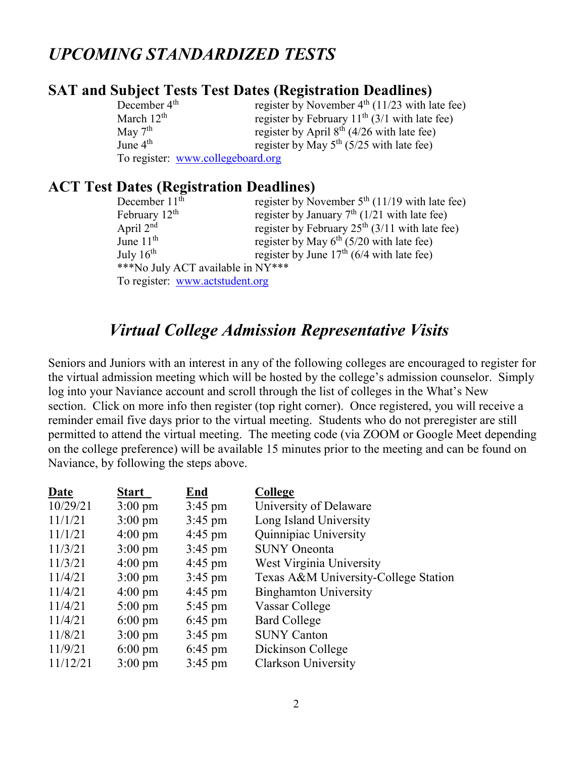### *UPCOMING STANDARDIZED TESTS*

### **SAT and Subject Tests Test Dates (Registration Deadlines)**

| December $4th$      | register by November $4th$ (11/23 with late fee) |
|---------------------|--------------------------------------------------|
| March $12th$        | register by February $11th$ (3/1 with late fee)  |
| May $7^{\text{th}}$ | register by April $8^{th}$ (4/26 with late fee)  |
| June $4th$          | register by May $5^{th}$ (5/25 with late fee)    |
|                     | To register: www.collegeboard.org                |

### **ACT Test Dates (Registration Deadlines)**

| December 11 <sup>th</sup>         | register by November $5th$ (11/19 with late fee) |  |  |
|-----------------------------------|--------------------------------------------------|--|--|
| February $12^{\text{th}}$         | register by January $7th$ (1/21 with late fee)   |  |  |
| April $2nd$                       | register by February $25th$ (3/11 with late fee) |  |  |
| June $11th$                       | register by May $6th$ (5/20 with late fee)       |  |  |
| July $16^{th}$                    | register by June $17th$ (6/4 with late fee)      |  |  |
| ***No July ACT available in NY*** |                                                  |  |  |
| To register: www.actstudent.org   |                                                  |  |  |

### *Virtual College Admission Representative Visits*

Seniors and Juniors with an interest in any of the following colleges are encouraged to register for the virtual admission meeting which will be hosted by the college's admission counselor. Simply log into your Naviance account and scroll through the list of colleges in the What's New section. Click on more info then register (top right corner). Once registered, you will receive a reminder email five days prior to the virtual meeting. Students who do not preregister are still permitted to attend the virtual meeting. The meeting code (via ZOOM or Google Meet depending on the college preference) will be available 15 minutes prior to the meeting and can be found on Naviance, by following the steps above.

| Date     | <b>Start</b>      | End               | College                              |
|----------|-------------------|-------------------|--------------------------------------|
| 10/29/21 | $3:00 \text{ pm}$ | $3:45 \text{ pm}$ | University of Delaware               |
| 11/1/21  | $3:00 \text{ pm}$ | $3:45$ pm         | Long Island University               |
| 11/1/21  | $4:00 \text{ pm}$ | $4:45$ pm         | Quinnipiac University                |
| 11/3/21  | $3:00 \text{ pm}$ | $3:45 \text{ pm}$ | <b>SUNY</b> Oneonta                  |
| 11/3/21  | $4:00 \text{ pm}$ | $4:45$ pm         | West Virginia University             |
| 11/4/21  | $3:00 \text{ pm}$ | $3:45$ pm         | Texas A&M University-College Station |
| 11/4/21  | $4:00 \text{ pm}$ | $4:45$ pm         | <b>Binghamton University</b>         |
| 11/4/21  | $5:00 \text{ pm}$ | $5:45 \text{ pm}$ | Vassar College                       |
| 11/4/21  | $6:00 \text{ pm}$ | $6:45 \text{ pm}$ | <b>Bard College</b>                  |
| 11/8/21  | $3:00 \text{ pm}$ | $3:45 \text{ pm}$ | <b>SUNY Canton</b>                   |
| 11/9/21  | $6:00 \text{ pm}$ | $6:45 \text{ pm}$ | Dickinson College                    |
| 11/12/21 | $3:00 \text{ pm}$ | $3:45 \text{ pm}$ | Clarkson University                  |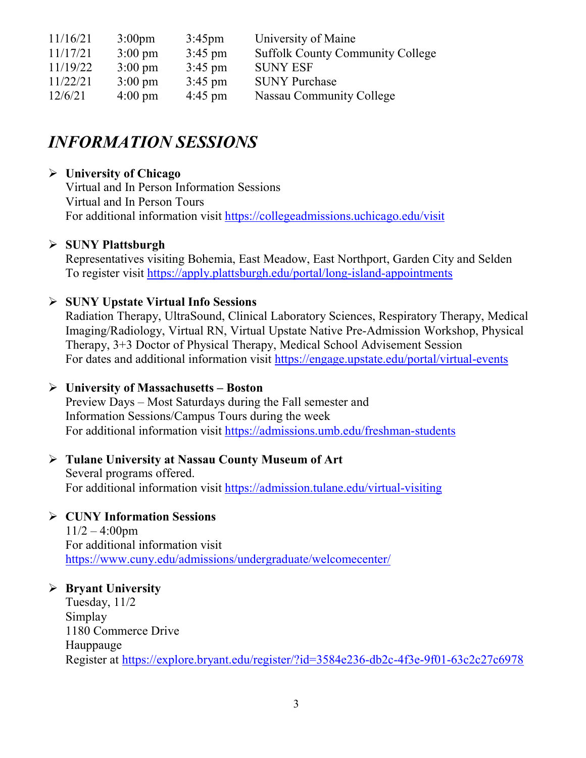| 11/16/21 | $3:00 \text{pm}$  | $3:45 \text{pm}$  | University of Maine                     |
|----------|-------------------|-------------------|-----------------------------------------|
| 11/17/21 | $3:00 \text{ pm}$ | $3:45$ pm         | <b>Suffolk County Community College</b> |
| 11/19/22 | $3:00 \text{ pm}$ | $3:45 \text{ pm}$ | <b>SUNY ESF</b>                         |
| 11/22/21 | $3:00 \text{ pm}$ | $3:45 \text{ pm}$ | <b>SUNY Purchase</b>                    |
| 12/6/21  | $4:00 \text{ pm}$ | $4:45$ pm         | Nassau Community College                |

### *INFORMATION SESSIONS*

### **University of Chicago**

Virtual and In Person Information Sessions Virtual and In Person Tours For additional information visit<https://collegeadmissions.uchicago.edu/visit>

### **SUNY Plattsburgh**

Representatives visiting Bohemia, East Meadow, East Northport, Garden City and Selden To register visit<https://apply.plattsburgh.edu/portal/long-island-appointments>

### **SUNY Upstate Virtual Info Sessions**

Radiation Therapy, UltraSound, Clinical Laboratory Sciences, Respiratory Therapy, Medical Imaging/Radiology, Virtual RN, Virtual Upstate Native Pre-Admission Workshop, Physical Therapy, 3+3 Doctor of Physical Therapy, Medical School Advisement Session For dates and additional information visit<https://engage.upstate.edu/portal/virtual-events>

#### **University of Massachusetts – Boston**

Preview Days – Most Saturdays during the Fall semester and Information Sessions/Campus Tours during the week For additional information visit<https://admissions.umb.edu/freshman-students>

#### **Tulane University at Nassau County Museum of Art** Several programs offered. For additional information visit<https://admission.tulane.edu/virtual-visiting>

### **CUNY Information Sessions**

 $11/2 - 4:00$ pm For additional information visit <https://www.cuny.edu/admissions/undergraduate/welcomecenter/>

### **Bryant University**

Tuesday, 11/2 Simplay 1180 Commerce Drive Hauppauge Register at<https://explore.bryant.edu/register/?id=3584e236-db2c-4f3e-9f01-63c2c27c6978>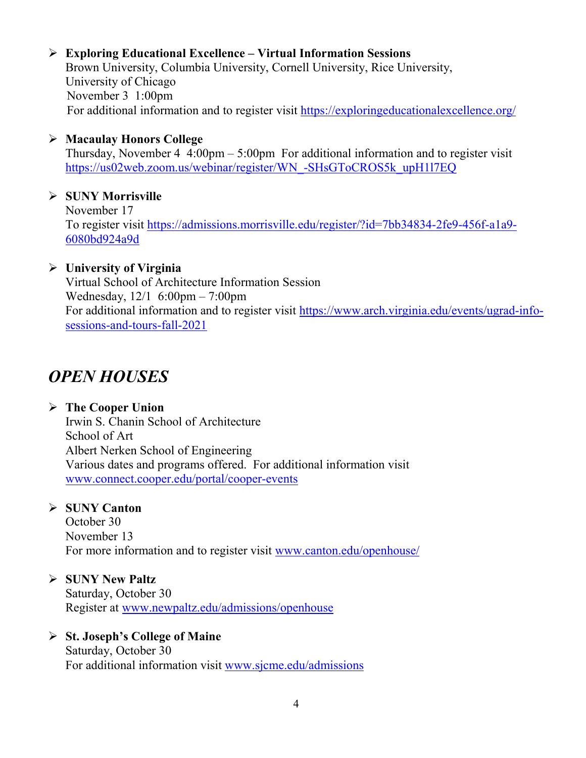### **Exploring Educational Excellence – Virtual Information Sessions**

Brown University, Columbia University, Cornell University, Rice University, University of Chicago November 3 1:00pm For additional information and to register visit<https://exploringeducationalexcellence.org/>

### **Macaulay Honors College**

Thursday, November  $4\,4:00\text{pm} - 5:00\text{pm}$  For additional information and to register visit [https://us02web.zoom.us/webinar/register/WN\\_-SHsGToCROS5k\\_upH1l7EQ](https://us02web.zoom.us/webinar/register/WN_-SHsGToCROS5k_upH1l7EQ)

### **SUNY Morrisville**

November 17 To register visit [https://admissions.morrisville.edu/register/?id=7bb34834-2fe9-456f-a1a9-](https://admissions.morrisville.edu/register/?id=7bb34834-2fe9-456f-a1a9-6080bd924a9d) [6080bd924a9d](https://admissions.morrisville.edu/register/?id=7bb34834-2fe9-456f-a1a9-6080bd924a9d)

### **University of Virginia**

Virtual School of Architecture Information Session Wednesday, 12/1 6:00pm – 7:00pm For additional information and to register visit [https://www.arch.virginia.edu/events/ugrad-info](https://www.arch.virginia.edu/events/ugrad-info-sessions-and-tours-fall-2021)[sessions-and-tours-fall-2021](https://www.arch.virginia.edu/events/ugrad-info-sessions-and-tours-fall-2021)

# *OPEN HOUSES*

### **The Cooper Union** Irwin S. Chanin School of Architecture School of Art Albert Nerken School of Engineering Various dates and programs offered. For additional information visit [www.connect.cooper.edu/portal/cooper-events](http://www.connect.cooper.edu/portal/cooper-events)

### **SUNY Canton**

October 30 November 13 For more information and to register visit [www.canton.edu/openhouse/](http://www.canton.edu/openhouse/)

### **SUNY New Paltz**

Saturday, October 30 Register at [www.newpaltz.edu/admissions/openhouse](http://www.newpaltz.edu/admissions/openhouse)

### **St. Joseph's College of Maine**

Saturday, October 30 For additional information visit [www.sjcme.edu/admissions](http://www.sjcme.edu/admissions)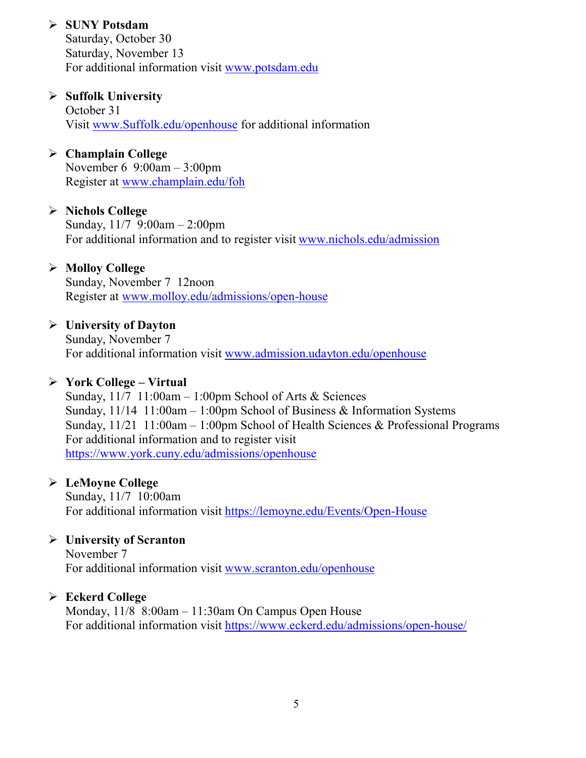### **SUNY Potsdam**

Saturday, October 30 Saturday, November 13 For additional information visit [www.potsdam.edu](http://www.potsdam.edu/)

### **Suffolk University**

October 31 Visit [www.Suffolk.edu/openhouse](http://www.suffolk.edu/openhouse) for additional information

### **Champlain College**

November 6 9:00am – 3:00pm Register at [www.champlain.edu/foh](http://www.champlain.edu/foh)

### **Nichols College**

Sunday, 11/7 9:00am – 2:00pm For additional information and to register visit [www.nichols.edu/admission](http://www.nichols.edu/admission)

### **Molloy College**

Sunday, November 7 12noon Register at [www.molloy.edu/admissions/open-house](http://www.molloy.edu/admissions/open-house)

### **University of Dayton**

Sunday, November 7 For additional information visit [www.admission.udayton.edu/openhouse](http://www.admission.udayton.edu/openhouse)

#### **York College – Virtual**

Sunday,  $11/7$  11:00am – 1:00pm School of Arts & Sciences Sunday, 11/14 11:00am – 1:00pm School of Business & Information Systems Sunday, 11/21 11:00am – 1:00pm School of Health Sciences & Professional Programs For additional information and to register visit <https://www.york.cuny.edu/admissions/openhouse>

### **LeMoyne College**

Sunday, 11/7 10:00am For additional information visit<https://lemoyne.edu/Events/Open-House>

### **University of Scranton**

November 7 For additional information visit [www.scranton.edu/openhouse](http://www.scranton.edu/openhouse)

### **Eckerd College**

Monday, 11/8 8:00am – 11:30am On Campus Open House For additional information visit<https://www.eckerd.edu/admissions/open-house/>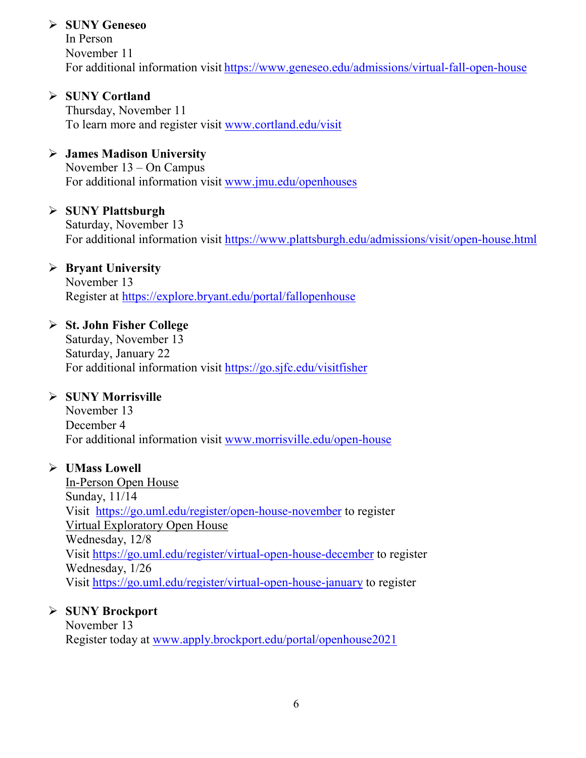### **SUNY Geneseo**

In Person November 11 For additional information visit <https://www.geneseo.edu/admissions/virtual-fall-open-house>

 **SUNY Cortland** Thursday, November 11 To learn more and register visit [www.cortland.edu/visit](http://www.cortland.edu/visit)

### **James Madison University**

November 13 – On Campus For additional information visit [www.jmu.edu/openhouses](http://www.jmu.edu/openhouses)

### **SUNY Plattsburgh**

Saturday, November 13 For additional information visit<https://www.plattsburgh.edu/admissions/visit/open-house.html>

### **Bryant University**

November 13 Register at<https://explore.bryant.edu/portal/fallopenhouse>

### **St. John Fisher College**

Saturday, November 13 Saturday, January 22 For additional information visit<https://go.sjfc.edu/visitfisher>

### **SUNY Morrisville**

November 13 December 4 For additional information visit [www.morrisville.edu/open-house](http://www.morrisville.edu/open-house)

#### **UMass Lowell**

In-Person Open House Sunday, 11/14 Visit <https://go.uml.edu/register/open-house-november> to register Virtual Exploratory Open House Wednesday, 12/8 Visit<https://go.uml.edu/register/virtual-open-house-december> to register Wednesday, 1/26 Visit<https://go.uml.edu/register/virtual-open-house-january> to register

### **SUNY Brockport**

November 13 Register today at [www.apply.brockport.edu/portal/openhouse2021](http://www.apply.brockport.edu/portal/openhouse2021)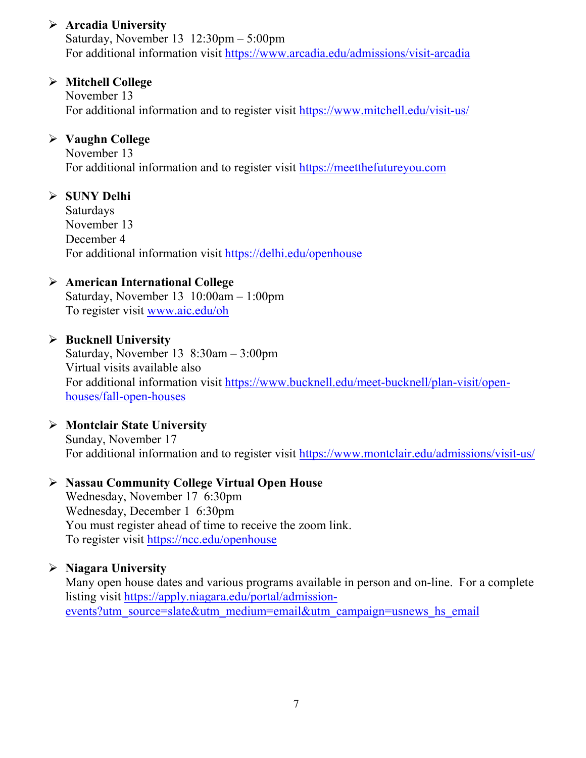### **Arcadia University**

Saturday, November 13 12:30pm – 5:00pm For additional information visit<https://www.arcadia.edu/admissions/visit-arcadia>

### **Mitchell College**

November 13 For additional information and to register visit<https://www.mitchell.edu/visit-us/>

### **Vaughn College**

November 13 For additional information and to register visit [https://meetthefutureyou.com](https://meetthefutureyou.com/)

### **SUNY Delhi**

Saturdays November 13 December 4 For additional information visit<https://delhi.edu/openhouse>

### **American International College**

Saturday, November 13 10:00am – 1:00pm To register visit [www.aic.edu/oh](http://www.aic.edu/oh)

### **Bucknell University**

Saturday, November 13 8:30am – 3:00pm Virtual visits available also For additional information visit [https://www.bucknell.edu/meet-bucknell/plan-visit/open](https://www.bucknell.edu/meet-bucknell/plan-visit/open-houses/fall-open-houses)[houses/fall-open-houses](https://www.bucknell.edu/meet-bucknell/plan-visit/open-houses/fall-open-houses)

### **Montclair State University**

Sunday, November 17 For additional information and to register visit<https://www.montclair.edu/admissions/visit-us/>

### **Nassau Community College Virtual Open House**

Wednesday, November 17 6:30pm Wednesday, December 1 6:30pm You must register ahead of time to receive the zoom link. To register visit<https://ncc.edu/openhouse>

### **Niagara University**

Many open house dates and various programs available in person and on-line. For a complete listing visit [https://apply.niagara.edu/portal/admission](https://apply.niagara.edu/portal/admission-events?utm_source=slate&utm_medium=email&utm_campaign=usnews_hs_email)[events?utm\\_source=slate&utm\\_medium=email&utm\\_campaign=usnews\\_hs\\_email](https://apply.niagara.edu/portal/admission-events?utm_source=slate&utm_medium=email&utm_campaign=usnews_hs_email)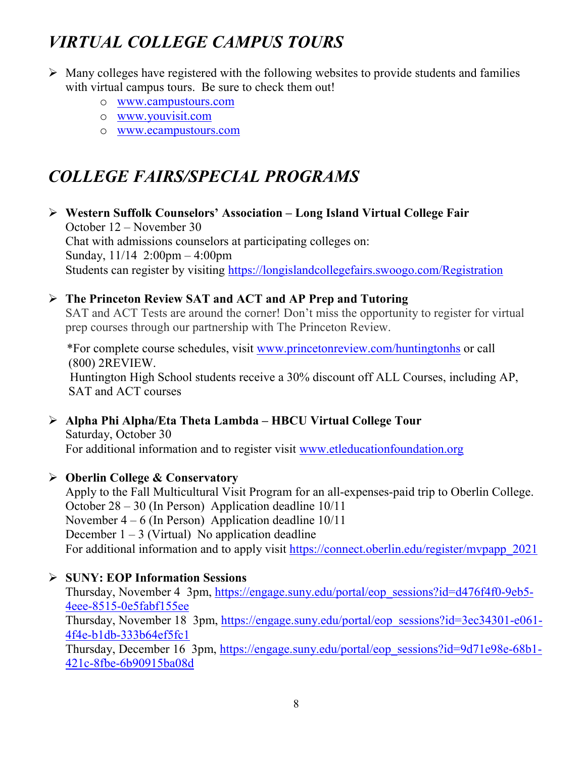# *VIRTUAL COLLEGE CAMPUS TOURS*

- $\triangleright$  Many colleges have registered with the following websites to provide students and families with virtual campus tours. Be sure to check them out!
	- o [www.campustours.com](http://www.campustours.com/)
	- o [www.youvisit.com](http://www.youvisit.com/)
	- o [www.ecampustours.com](http://www.ecampustours.com/)

# *COLLEGE FAIRS/SPECIAL PROGRAMS*

 **Western Suffolk Counselors' Association – Long Island Virtual College Fair** October 12 – November 30 Chat with admissions counselors at participating colleges on: Sunday, 11/14 2:00pm – 4:00pm Students can register by visiting<https://longislandcollegefairs.swoogo.com/Registration>

 **The Princeton Review SAT and ACT and AP Prep and Tutoring** SAT and ACT Tests are around the corner! Don't miss the opportunity to register for virtual prep courses through our partnership with The Princeton Review.

 \*For complete course schedules, visit [www.princetonreview.com/huntingtonhs](http://www.princetonreview.com/huntingtonhs) or call (800) 2REVIEW. Huntington High School students receive a 30% discount off ALL Courses, including AP, SAT and ACT courses

 **Alpha Phi Alpha/Eta Theta Lambda – HBCU Virtual College Tour** Saturday, October 30 For additional information and to register visit [www.etleducationfoundation.org](http://www.etleducationfoundation.org/)

### **Oberlin College & Conservatory**

Apply to the Fall Multicultural Visit Program for an all-expenses-paid trip to Oberlin College. October 28 – 30 (In Person) Application deadline 10/11 November 4 – 6 (In Person) Application deadline 10/11 December  $1 - 3$  (Virtual) No application deadline For additional information and to apply visit https://connect.oberlin.edu/register/mypapp\_2021

### **SUNY: EOP Information Sessions**

Thursday, November 4 3pm, [https://engage.suny.edu/portal/eop\\_sessions?id=d476f4f0-9eb5-](https://engage.suny.edu/portal/eop_sessions?id=d476f4f0-9eb5-4eee-8515-0e5fabf155ee) [4eee-8515-0e5fabf155ee](https://engage.suny.edu/portal/eop_sessions?id=d476f4f0-9eb5-4eee-8515-0e5fabf155ee) Thursday, November 18 3pm, [https://engage.suny.edu/portal/eop\\_sessions?id=3ec34301-e061-](https://engage.suny.edu/portal/eop_sessions?id=3ec34301-e061-4f4e-b1db-333b64ef5fc1) [4f4e-b1db-333b64ef5fc1](https://engage.suny.edu/portal/eop_sessions?id=3ec34301-e061-4f4e-b1db-333b64ef5fc1) Thursday, December 16 3pm, [https://engage.suny.edu/portal/eop\\_sessions?id=9d71e98e-68b1-](https://engage.suny.edu/portal/eop_sessions?id=9d71e98e-68b1-421c-8fbe-6b90915ba08d)

[421c-8fbe-6b90915ba08d](https://engage.suny.edu/portal/eop_sessions?id=9d71e98e-68b1-421c-8fbe-6b90915ba08d)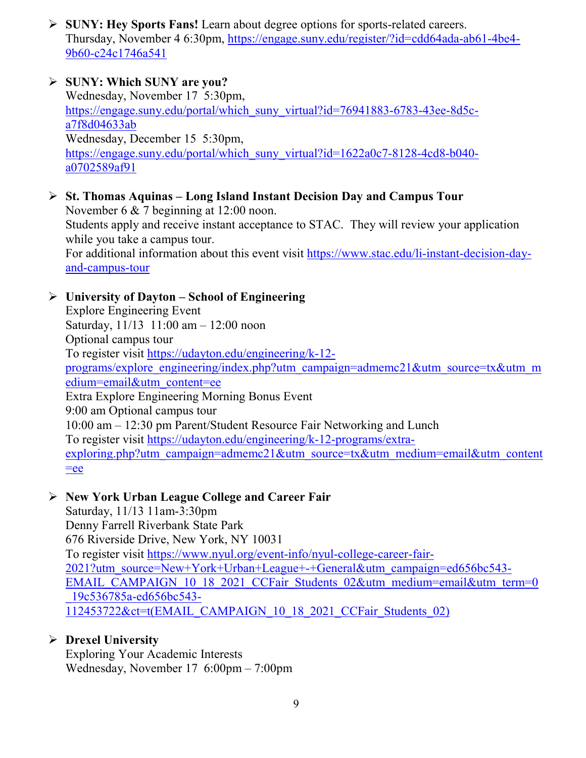**SUNY: Hey Sports Fans!** Learn about degree options for sports-related careers. Thursday, November 4 6:30pm, [https://engage.suny.edu/register/?id=cdd64ada-ab61-4be4-](https://engage.suny.edu/register/?id=cdd64ada-ab61-4be4-9b60-c24c1746a541) [9b60-c24c1746a541](https://engage.suny.edu/register/?id=cdd64ada-ab61-4be4-9b60-c24c1746a541)

### **SUNY: Which SUNY are you?** Wednesday, November 17 5:30pm, [https://engage.suny.edu/portal/which\\_suny\\_virtual?id=76941883-6783-43ee-8d5c](https://engage.suny.edu/portal/which_suny_virtual?id=76941883-6783-43ee-8d5c-a7f8d04633ab)[a7f8d04633ab](https://engage.suny.edu/portal/which_suny_virtual?id=76941883-6783-43ee-8d5c-a7f8d04633ab) Wednesday, December 15 5:30pm, [https://engage.suny.edu/portal/which\\_suny\\_virtual?id=1622a0c7-8128-4cd8-b040](https://engage.suny.edu/portal/which_suny_virtual?id=1622a0c7-8128-4cd8-b040-a0702589af91) [a0702589af91](https://engage.suny.edu/portal/which_suny_virtual?id=1622a0c7-8128-4cd8-b040-a0702589af91)

 **St. Thomas Aquinas – Long Island Instant Decision Day and Campus Tour** November 6 & 7 beginning at 12:00 noon. Students apply and receive instant acceptance to STAC. They will review your application while you take a campus tour. For additional information about this event visit [https://www.stac.edu/li-instant-decision-day](https://www.stac.edu/li-instant-decision-day-and-campus-tour)[and-campus-tour](https://www.stac.edu/li-instant-decision-day-and-campus-tour)

### **University of Dayton – School of Engineering**

Explore Engineering Event Saturday, 11/13 11:00 am – 12:00 noon Optional campus tour To register visit [https://udayton.edu/engineering/k-12](https://udayton.edu/engineering/k-12-programs/explore_engineering/index.php?utm_campaign=admemc21&utm_source=tx&utm_medium=email&utm_content=ee) [programs/explore\\_engineering/index.php?utm\\_campaign=admemc21&utm\\_source=tx&utm\\_m](https://udayton.edu/engineering/k-12-programs/explore_engineering/index.php?utm_campaign=admemc21&utm_source=tx&utm_medium=email&utm_content=ee) [edium=email&utm\\_content=ee](https://udayton.edu/engineering/k-12-programs/explore_engineering/index.php?utm_campaign=admemc21&utm_source=tx&utm_medium=email&utm_content=ee) Extra Explore Engineering Morning Bonus Event 9:00 am Optional campus tour 10:00 am – 12:30 pm Parent/Student Resource Fair Networking and Lunch To register visit [https://udayton.edu/engineering/k-12-programs/extra](https://udayton.edu/engineering/k-12-programs/extra-exploring.php?utm_campaign=admemc21&utm_source=tx&utm_medium=email&utm_content=ee)[exploring.php?utm\\_campaign=admemc21&utm\\_source=tx&utm\\_medium=email&utm\\_content](https://udayton.edu/engineering/k-12-programs/extra-exploring.php?utm_campaign=admemc21&utm_source=tx&utm_medium=email&utm_content=ee)  $=$ ee

### **New York Urban League College and Career Fair**

Saturday, 11/13 11am-3:30pm Denny Farrell Riverbank State Park 676 Riverside Drive, New York, NY 10031 To register visit [https://www.nyul.org/event-info/nyul-college-career-fair-](https://www.nyul.org/event-info/nyul-college-career-fair-2021?utm_source=New+York+Urban+League+-+General&utm_campaign=ed656bc543-EMAIL_CAMPAIGN_10_18_2021_CCFair_Students_02&utm_medium=email&utm_term=0_19c536785a-ed656bc543-112453722&ct=t(EMAIL_CAMPAIGN_10_18_2021_CCFair_Students_02))[2021?utm\\_source=New+York+Urban+League+-+General&utm\\_campaign=ed656bc543-](https://www.nyul.org/event-info/nyul-college-career-fair-2021?utm_source=New+York+Urban+League+-+General&utm_campaign=ed656bc543-EMAIL_CAMPAIGN_10_18_2021_CCFair_Students_02&utm_medium=email&utm_term=0_19c536785a-ed656bc543-112453722&ct=t(EMAIL_CAMPAIGN_10_18_2021_CCFair_Students_02)) [EMAIL\\_CAMPAIGN\\_10\\_18\\_2021\\_CCFair\\_Students\\_02&utm\\_medium=email&utm\\_term=0](https://www.nyul.org/event-info/nyul-college-career-fair-2021?utm_source=New+York+Urban+League+-+General&utm_campaign=ed656bc543-EMAIL_CAMPAIGN_10_18_2021_CCFair_Students_02&utm_medium=email&utm_term=0_19c536785a-ed656bc543-112453722&ct=t(EMAIL_CAMPAIGN_10_18_2021_CCFair_Students_02)) [\\_19c536785a-ed656bc543-](https://www.nyul.org/event-info/nyul-college-career-fair-2021?utm_source=New+York+Urban+League+-+General&utm_campaign=ed656bc543-EMAIL_CAMPAIGN_10_18_2021_CCFair_Students_02&utm_medium=email&utm_term=0_19c536785a-ed656bc543-112453722&ct=t(EMAIL_CAMPAIGN_10_18_2021_CCFair_Students_02)) [112453722&ct=t\(EMAIL\\_CAMPAIGN\\_10\\_18\\_2021\\_CCFair\\_Students\\_02\)](https://www.nyul.org/event-info/nyul-college-career-fair-2021?utm_source=New+York+Urban+League+-+General&utm_campaign=ed656bc543-EMAIL_CAMPAIGN_10_18_2021_CCFair_Students_02&utm_medium=email&utm_term=0_19c536785a-ed656bc543-112453722&ct=t(EMAIL_CAMPAIGN_10_18_2021_CCFair_Students_02))

### **Drexel University**

Exploring Your Academic Interests Wednesday, November 17 6:00pm – 7:00pm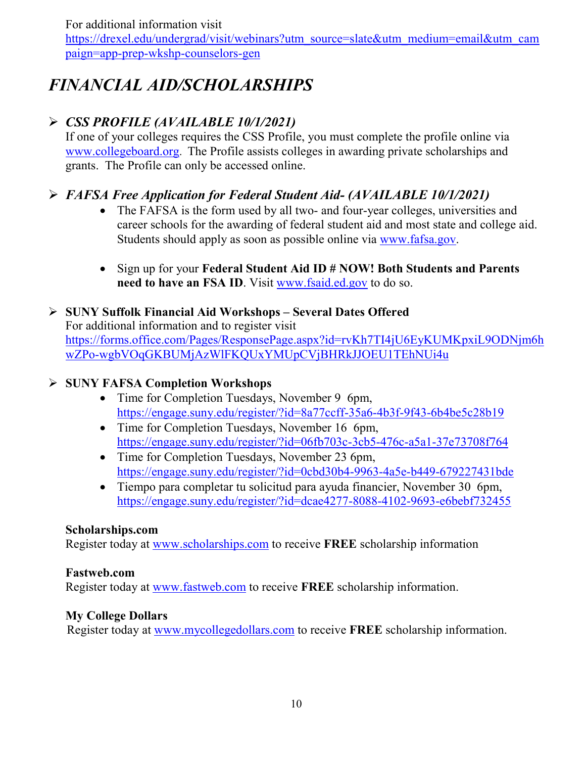For additional information visit

[https://drexel.edu/undergrad/visit/webinars?utm\\_source=slate&utm\\_medium=email&utm\\_cam](https://drexel.edu/undergrad/visit/webinars?utm_source=slate&utm_medium=email&utm_campaign=app-prep-wkshp-counselors-gen) [paign=app-prep-wkshp-counselors-gen](https://drexel.edu/undergrad/visit/webinars?utm_source=slate&utm_medium=email&utm_campaign=app-prep-wkshp-counselors-gen)

# *FINANCIAL AID/SCHOLARSHIPS*

### *CSS PROFILE (AVAILABLE 10/1/2021)*

If one of your colleges requires the CSS Profile, you must complete the profile online via [www.collegeboard.org](http://www.collegeboard.org/). The Profile assists colleges in awarding private scholarships and grants. The Profile can only be accessed online.

### *FAFSA Free Application for Federal Student Aid- (AVAILABLE 10/1/2021)*

- The FAFSA is the form used by all two- and four-year colleges, universities and career schools for the awarding of [federal student aid](http://studentaid.ed.gov/students/publications/student_guide/2010-2011/english/typesofFSA_grants.htm) and most state and college aid. Students should apply as soon as possible online via [www.fafsa.gov.](http://www.fafsa.gov/)
- Sign up for your **Federal Student Aid ID # NOW! Both Students and Parents**  need to have an FSA ID. Visit [www.fsaid.ed.gov](http://www.fsaid.ed.gov/) to do so.

 **SUNY Suffolk Financial Aid Workshops – Several Dates Offered** For additional information and to register visit [https://forms.office.com/Pages/ResponsePage.aspx?id=rvKh7TI4jU6EyKUMKpxiL9ODNjm6h](https://forms.office.com/Pages/ResponsePage.aspx?id=rvKh7TI4jU6EyKUMKpxiL9ODNjm6hwZPo-wgbVOqGKBUMjAzWlFKQUxYMUpCVjBHRkJJOEU1TEhNUi4u) [wZPo-wgbVOqGKBUMjAzWlFKQUxYMUpCVjBHRkJJOEU1TEhNUi4u](https://forms.office.com/Pages/ResponsePage.aspx?id=rvKh7TI4jU6EyKUMKpxiL9ODNjm6hwZPo-wgbVOqGKBUMjAzWlFKQUxYMUpCVjBHRkJJOEU1TEhNUi4u)

### **SUNY FAFSA Completion Workshops**

- Time for Completion Tuesdays, November 9 6pm, <https://engage.suny.edu/register/?id=8a77ccff-35a6-4b3f-9f43-6b4be5c28b19>
- Time for Completion Tuesdays, November 16 6pm, <https://engage.suny.edu/register/?id=06fb703c-3cb5-476c-a5a1-37e73708f764>
- Time for Completion Tuesdays, November 23 6pm, <https://engage.suny.edu/register/?id=0cbd30b4-9963-4a5e-b449-679227431bde>
- Tiempo para completar tu solicitud para ayuda financier, November 30 6pm, <https://engage.suny.edu/register/?id=dcae4277-8088-4102-9693-e6bebf732455>

### **Scholarships.com**

Register today at [www.scholarships.com](http://www.scholarships.com/) to receive **FREE** scholarship information

### **Fastweb.com**

Register today at [www.fastweb.com](http://www.fastweb.com/) to receive **FREE** scholarship information.

### **My College Dollars**

Register today at [www.mycollegedollars.com](http://www.mycollegedollars.com/) to receive **FREE** scholarship information.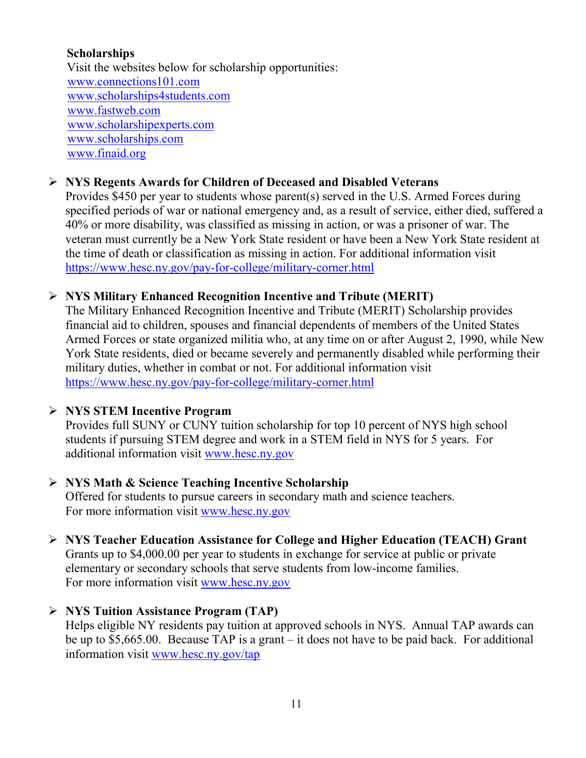### **Scholarships**

 Visit the websites below for scholarship opportunities: [www.connections101.com](http://www.connections101.com/) [www.scholarships4students.com](http://www.scholarships4students.com/) [www.fastweb.com](http://www.fastweb.com/) [www.scholarshipexperts.com](http://www.scholarshipexperts.com/) [www.scholarships.com](http://www.scholarships.com/) [www.finaid.org](http://www.finaid.org/)

### **NYS Regents Awards for Children of Deceased and Disabled Veterans**

Provides \$450 per year to students whose parent(s) served in the U.S. Armed Forces during specified periods of war or national emergency and, as a result of service, either died, suffered a 40% or more disability, was classified as missing in action, or was a prisoner of war. The veteran must currently be a New York State resident or have been a New York State resident at the time of death or classification as missing in action. For additional information visit <https://www.hesc.ny.gov/pay-for-college/military-corner.html>

### **NYS Military Enhanced Recognition Incentive and Tribute (MERIT)**

The Military Enhanced Recognition Incentive and Tribute (MERIT) Scholarship provides financial aid to children, spouses and financial dependents of members of the United States Armed Forces or state organized militia who, at any time on or after August 2, 1990, while New York State residents, died or became severely and permanently disabled while performing their military duties, whether in combat or not. For additional information visit <https://www.hesc.ny.gov/pay-for-college/military-corner.html>

### **NYS STEM Incentive Program**

Provides full SUNY or CUNY tuition scholarship for top 10 percent of NYS high school students if pursuing STEM degree and work in a STEM field in NYS for 5 years. For additional information visit [www.hesc.ny.gov](http://www.hesc.ny.gov/)

### **NYS Math & Science Teaching Incentive Scholarship**

Offered for students to pursue careers in secondary math and science teachers. For more information visit [www.hesc.ny.gov](http://www.hesc.ny.gov/)

 **NYS Teacher Education Assistance for College and Higher Education (TEACH) Grant** Grants up to \$4,000.00 per year to students in exchange for service at public or private elementary or secondary schools that serve students from low-income families. For more information visit [www.hesc.ny.gov](http://www.hesc.ny.gov/) 

### **NYS Tuition Assistance Program (TAP)**

Helps eligible NY residents pay tuition at approved schools in NYS. Annual TAP awards can be up to \$5,665.00. Because TAP is a grant – it does not have to be paid back. For additional information visit [www.hesc.ny.gov/tap](http://www.hesc.ny.gov/tap)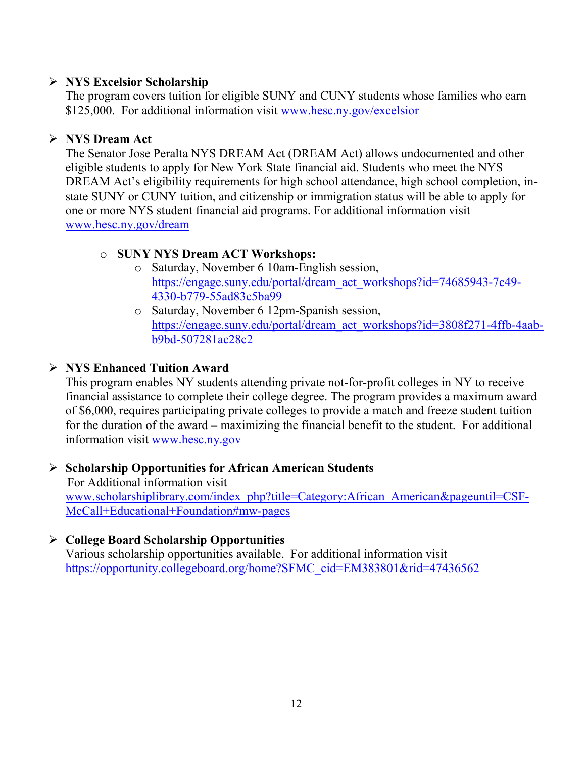### **NYS Excelsior Scholarship**

The program covers tuition for eligible SUNY and CUNY students whose families who earn \$125,000. For additional information visit [www.hesc.ny.gov/](http://www.hesc.ny.gov/)excelsior

### **NYS Dream Act**

The Senator Jose Peralta NYS DREAM Act (DREAM Act) allows undocumented and other eligible students to apply for New York State financial aid. Students who meet the NYS DREAM Act's eligibility requirements for high school attendance, high school completion, instate SUNY or CUNY tuition, and citizenship or immigration status will be able to apply for one or more NYS student financial aid programs. For additional information visit [www.hesc.ny.gov/dream](http://www.hesc.ny.gov/dream)

### o **SUNY NYS Dream ACT Workshops:**

- o Saturday, November 6 10am-English session, [https://engage.suny.edu/portal/dream\\_act\\_workshops?id=74685943-7c49-](https://engage.suny.edu/portal/dream_act_workshops?id=74685943-7c49-4330-b779-55ad83c5ba99) [4330-b779-55ad83c5ba99](https://engage.suny.edu/portal/dream_act_workshops?id=74685943-7c49-4330-b779-55ad83c5ba99)
- o Saturday, November 6 12pm-Spanish session, [https://engage.suny.edu/portal/dream\\_act\\_workshops?id=3808f271-4ffb-4aab](https://engage.suny.edu/portal/dream_act_workshops?id=3808f271-4ffb-4aab-b9bd-507281ac28c2)[b9bd-507281ac28c2](https://engage.suny.edu/portal/dream_act_workshops?id=3808f271-4ffb-4aab-b9bd-507281ac28c2)

### **NYS Enhanced Tuition Award**

This program enables NY students attending private not-for-profit colleges in NY to receive financial assistance to complete their college degree. The program provides a maximum award of \$6,000, requires participating private colleges to provide a match and freeze student tuition for the duration of the award – maximizing the financial benefit to the student. For additional information visit [www.hesc.ny.gov](http://www.hesc.ny.gov/)

#### **Scholarship Opportunities for African American Students** For Additional information visit [www.scholarshiplibrary.com/index\\_php?title=Category:African\\_American&pageuntil=CSF-](http://www.scholarshiplibrary.com/index_php?title=Category:African_American&pageuntil=CSF-%20%20%20McCall+Educational+Foundation#mw-pages)[McCall+Educational+Foundation#mw-pages](http://www.scholarshiplibrary.com/index_php?title=Category:African_American&pageuntil=CSF-%20%20%20McCall+Educational+Foundation#mw-pages)

#### **College Board Scholarship Opportunities** Various scholarship opportunities available. For additional information visit [https://opportunity.collegeboard.org/home?SFMC\\_cid=EM383801&rid=47436562](https://opportunity.collegeboard.org/home?SFMC_cid=EM383801&rid=47436562)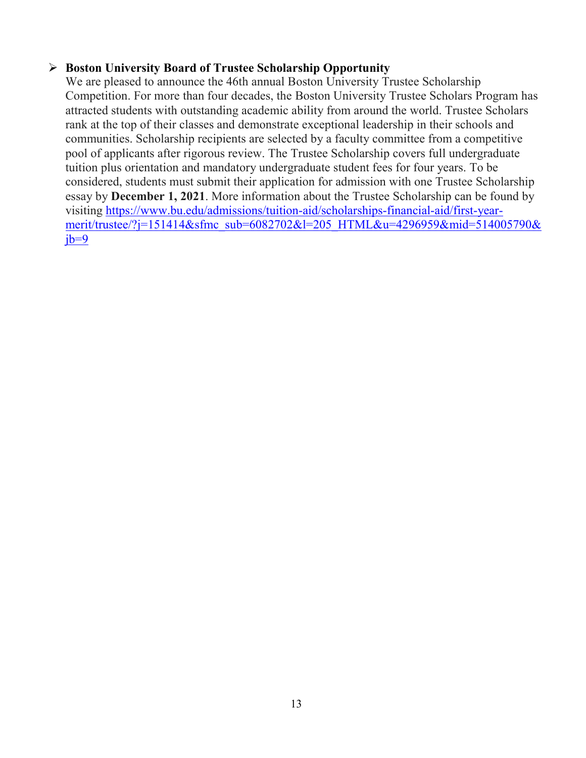### **Boston University Board of Trustee Scholarship Opportunity**

We are pleased to announce the 46th annual Boston University Trustee Scholarship Competition. For more than four decades, the Boston University Trustee Scholars Program has attracted students with outstanding academic ability from around the world. Trustee Scholars rank at the top of their classes and demonstrate exceptional leadership in their schools and communities. Scholarship recipients are selected by a faculty committee from a competitive pool of applicants after rigorous review. The Trustee Scholarship covers full undergraduate tuition plus orientation and mandatory undergraduate student fees for four years. To be considered, students must submit their application for admission with one Trustee Scholarship essay by **December 1, 2021**. More information about the Trustee Scholarship can be found by visiting [https://www.bu.edu/admissions/tuition-aid/scholarships-financial-aid/first-year](https://www.bu.edu/admissions/tuition-aid/scholarships-financial-aid/first-year-merit/trustee/?j=151414&sfmc_sub=6082702&l=205_HTML&u=4296959&mid=514005790&jb=9)[merit/trustee/?j=151414&sfmc\\_sub=6082702&l=205\\_HTML&u=4296959&mid=514005790&](https://www.bu.edu/admissions/tuition-aid/scholarships-financial-aid/first-year-merit/trustee/?j=151414&sfmc_sub=6082702&l=205_HTML&u=4296959&mid=514005790&jb=9)  $jb=9$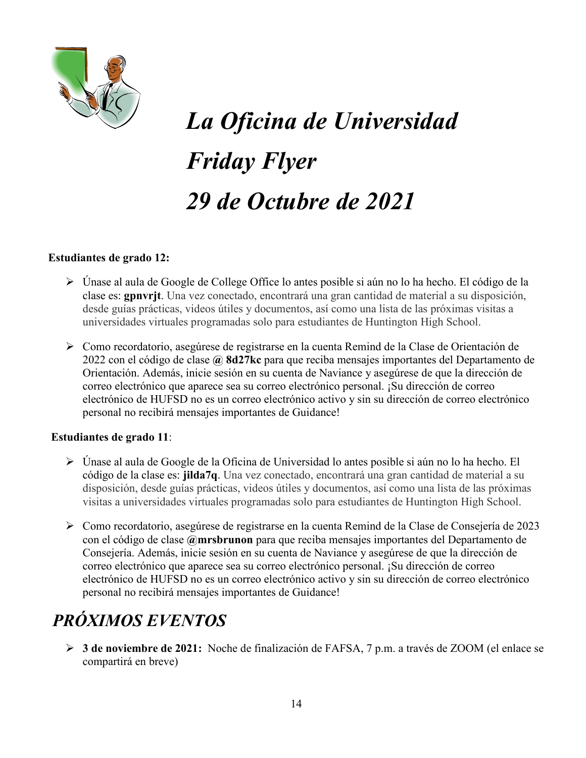

# *La Oficina de Universidad Friday Flyer 29 de Octubre de 2021*

### **Estudiantes de grado 12:**

- Únase al aula de Google de College Office lo antes posible si aún no lo ha hecho. El código de la clase es: **gpnvrjt**. Una vez conectado, encontrará una gran cantidad de material a su disposición, desde guías prácticas, videos útiles y documentos, así como una lista de las próximas visitas a universidades virtuales programadas solo para estudiantes de Huntington High School.
- Como recordatorio, asegúrese de registrarse en la cuenta Remind de la Clase de Orientación de 2022 con el código de clase **@ 8d27kc** para que reciba mensajes importantes del Departamento de Orientación. Además, inicie sesión en su cuenta de Naviance y asegúrese de que la dirección de correo electrónico que aparece sea su correo electrónico personal. ¡Su dirección de correo electrónico de HUFSD no es un correo electrónico activo y sin su dirección de correo electrónico personal no recibirá mensajes importantes de Guidance!

#### **Estudiantes de grado 11**:

- Únase al aula de Google de la Oficina de Universidad lo antes posible si aún no lo ha hecho. El código de la clase es: **jilda7q**. Una vez conectado, encontrará una gran cantidad de material a su disposición, desde guías prácticas, videos útiles y documentos, así como una lista de las próximas visitas a universidades virtuales programadas solo para estudiantes de Huntington High School.
- Como recordatorio, asegúrese de registrarse en la cuenta Remind de la Clase de Consejería de 2023 con el código de clase **@mrsbrunon** para que reciba mensajes importantes del Departamento de Consejería. Además, inicie sesión en su cuenta de Naviance y asegúrese de que la dirección de correo electrónico que aparece sea su correo electrónico personal. ¡Su dirección de correo electrónico de HUFSD no es un correo electrónico activo y sin su dirección de correo electrónico personal no recibirá mensajes importantes de Guidance!

# *PRÓXIMOS EVENTOS*

 **3 de noviembre de 2021:** Noche de finalización de FAFSA, 7 p.m. a través de ZOOM (el enlace se compartirá en breve)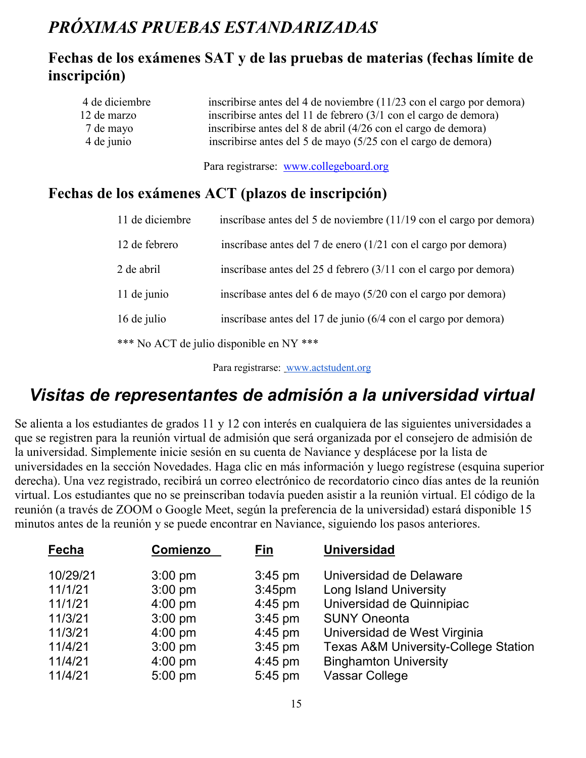# *PRÓXIMAS PRUEBAS ESTANDARIZADAS*

### **Fechas de los exámenes SAT y de las pruebas de materias (fechas límite de inscripción)**

| 4 de diciembre | inscribirse antes del 4 de noviembre (11/23 con el cargo por demora) |
|----------------|----------------------------------------------------------------------|
| 12 de marzo    | inscribirse antes del 11 de febrero (3/1 con el cargo de demora)     |
| 7 de mayo      | inscribirse antes del 8 de abril (4/26 con el cargo de demora)       |
| 4 de junio     | inscribirse antes del 5 de mayo (5/25 con el cargo de demora)        |

Para registrarse: [www.collegeboard.org](http://www.collegeboard.org/)

### **Fechas de los exámenes ACT (plazos de inscripción)**

| 11 de diciembre | inscríbase antes del 5 de noviembre (11/19 con el cargo por demora) |
|-----------------|---------------------------------------------------------------------|
| 12 de febrero   | inscríbase antes del 7 de enero (1/21 con el cargo por demora)      |
| 2 de abril      | inscríbase antes del 25 d febrero (3/11 con el cargo por demora)    |
| 11 de junio     | inscríbase antes del 6 de mayo (5/20 con el cargo por demora)       |
| 16 de julio     | inscríbase antes del 17 de junio (6/4 con el cargo por demora)      |
|                 | *** No ACT de julio disponible en NY ***                            |

Para registrarse: [www.actstudent.org](http://www.actstudent.org/)

# *Visitas de representantes de admisión a la universidad virtual*

Se alienta a los estudiantes de grados 11 y 12 con interés en cualquiera de las siguientes universidades a que se registren para la reunión virtual de admisión que será organizada por el consejero de admisión de la universidad. Simplemente inicie sesión en su cuenta de Naviance y desplácese por la lista de universidades en la sección Novedades. Haga clic en más información y luego regístrese (esquina superior derecha). Una vez registrado, recibirá un correo electrónico de recordatorio cinco días antes de la reunión virtual. Los estudiantes que no se preinscriban todavía pueden asistir a la reunión virtual. El código de la reunión (a través de ZOOM o Google Meet, según la preferencia de la universidad) estará disponible 15 minutos antes de la reunión y se puede encontrar en Naviance, siguiendo los pasos anteriores.

| Fecha    | <b>Comienzo</b>   | <u>Fin</u>         | <b>Universidad</b>                              |
|----------|-------------------|--------------------|-------------------------------------------------|
| 10/29/21 | $3:00$ pm         | $3:45$ pm          | Universidad de Delaware                         |
| 11/1/21  | $3:00$ pm         | 3:45 <sub>pm</sub> | Long Island University                          |
| 11/1/21  | $4:00 \text{ pm}$ | $4:45$ pm          | Universidad de Quinnipiac                       |
| 11/3/21  | $3:00$ pm         | $3:45$ pm          | <b>SUNY Oneonta</b>                             |
| 11/3/21  | $4:00 \text{ pm}$ | $4:45$ pm          | Universidad de West Virginia                    |
| 11/4/21  | $3:00$ pm         | $3:45$ pm          | <b>Texas A&amp;M University-College Station</b> |
| 11/4/21  | $4:00 \text{ pm}$ | $4:45$ pm          | <b>Binghamton University</b>                    |
| 11/4/21  | $5:00$ pm         | 5:45 pm            | Vassar College                                  |
|          |                   |                    |                                                 |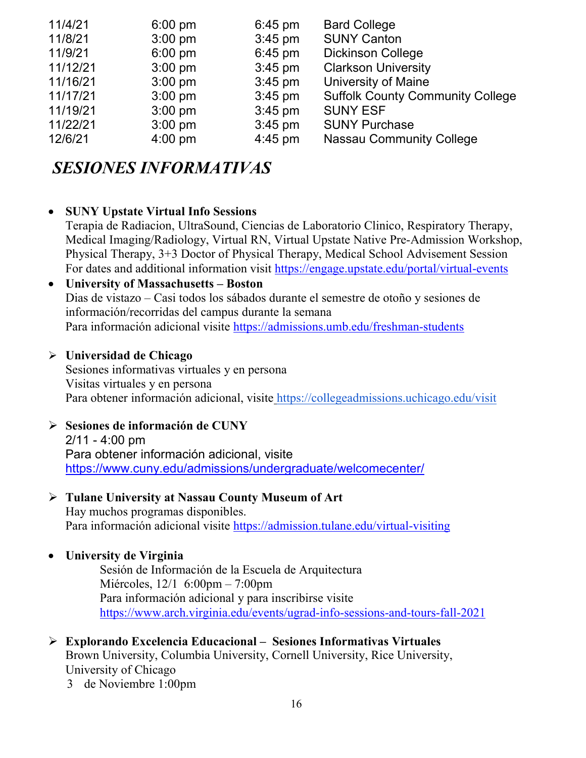| $6:00$ pm         | $6:45$ pm | <b>Bard College</b>                     |
|-------------------|-----------|-----------------------------------------|
| $3:00$ pm         | $3:45$ pm | <b>SUNY Canton</b>                      |
| $6:00 \text{ pm}$ | $6:45$ pm | <b>Dickinson College</b>                |
| $3:00$ pm         | $3:45$ pm | <b>Clarkson University</b>              |
| $3:00 \text{ pm}$ | $3:45$ pm | University of Maine                     |
| $3:00$ pm         | $3:45$ pm | <b>Suffolk County Community College</b> |
| $3:00$ pm         | $3:45$ pm | <b>SUNY ESF</b>                         |
| $3:00$ pm         | $3:45$ pm | <b>SUNY Purchase</b>                    |
| $4:00 \text{ pm}$ | $4:45$ pm | <b>Nassau Community College</b>         |
|                   |           |                                         |

# *SESIONES INFORMATIVAS*

### • **SUNY Upstate Virtual Info Sessions**

Terapia de Radiacion, UltraSound, Ciencias de Laboratorio Clinico, Respiratory Therapy, Medical Imaging/Radiology, Virtual RN, Virtual Upstate Native Pre-Admission Workshop, Physical Therapy, 3+3 Doctor of Physical Therapy, Medical School Advisement Session For dates and additional information visit<https://engage.upstate.edu/portal/virtual-events>

### • **University of Massachusetts – Boston**

Dias de vistazo – Casi todos los sábados durante el semestre de otoño y sesiones de información/recorridas del campus durante la semana Para información adicional visite<https://admissions.umb.edu/freshman-students>

### **Universidad de Chicago**

Sesiones informativas virtuales y en persona Visitas virtuales y en persona Para obtener información adicional, visite <https://collegeadmissions.uchicago.edu/visit>

### **Sesiones de información de CUNY**

2/11 - 4:00 pm Para obtener información adicional, visit[e](https://www.cuny.edu/admissions/undergraduate/welcomecenter/) <https://www.cuny.edu/admissions/undergraduate/welcomecenter/>

#### **Tulane University at Nassau County Museum of Art** Hay muchos programas disponibles.

Para información adicional visite <https://admission.tulane.edu/virtual-visiting>

### • **University de Virginia**

Sesión de Información de la Escuela de Arquitectura Miércoles, 12/1 6:00pm – 7:00pm Para información adicional y para inscribirse visite <https://www.arch.virginia.edu/events/ugrad-info-sessions-and-tours-fall-2021>

### **Explorando Excelencia Educacional – Sesiones Informativas Virtuales** Brown University, Columbia University, Cornell University, Rice University, University of Chicago

3 de Noviembre 1:00pm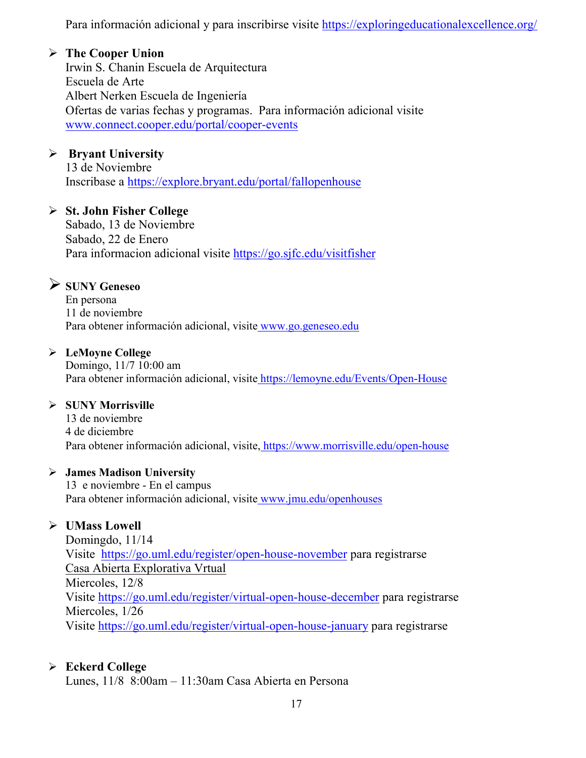Para información adicional y para inscribirse visite<https://exploringeducationalexcellence.org/>

### **The Cooper Union**

Irwin S. Chanin Escuela de Arquitectura Escuela de Arte Albert Nerken Escuela de Ingeniería Ofertas de varias fechas y programas. Para información adicional visite [www.connect.cooper.edu/portal/cooper-events](http://www.connect.cooper.edu/portal/cooper-events)

### **Bryant University**

13 de Noviembre Inscribase a<https://explore.bryant.edu/portal/fallopenhouse>

### **St. John Fisher College**

Sabado, 13 de Noviembre Sabado, 22 de Enero Para informacion adicional visite<https://go.sjfc.edu/visitfisher>

### **SUNY Geneseo**

En persona 11 de noviembre Para obtener información adicional, visite [www.go.geneseo.edu](http://www.go.geneseo.edu/)

### **LeMoyne College**

Domingo, 11/7 10:00 am Para obtener información adicional, visite <https://lemoyne.edu/Events/Open-House>

### **SUNY Morrisville**

13 de noviembre 4 de diciembre Para obtener información adicional, visite, <https://www.morrisville.edu/open-house>

### **James Madison University**

13 e noviembre - En el campus Para obtener información adicional, visite [www.jmu.edu/openhouses](http://www.jmu.edu/openhouses)

### **UMass Lowell**

Domingdo, 11/14 Visite <https://go.uml.edu/register/open-house-november> para registrarse Casa Abierta Explorativa Vrtual Miercoles, 12/8 Visite<https://go.uml.edu/register/virtual-open-house-december> para registrarse Miercoles, 1/26 Visite<https://go.uml.edu/register/virtual-open-house-january> para registrarse

### **Eckerd College**

Lunes, 11/8 8:00am – 11:30am Casa Abierta en Persona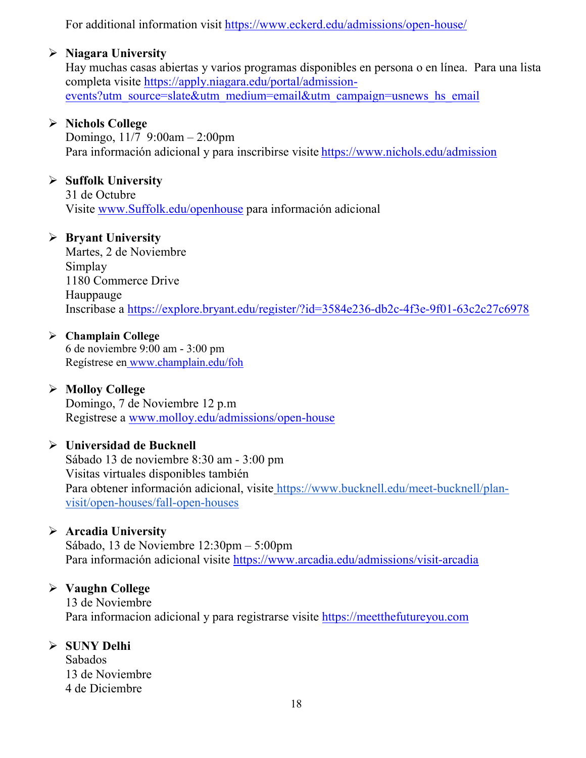For additional information visit<https://www.eckerd.edu/admissions/open-house/>

### **Niagara University**

Hay muchas casas abiertas y varios programas disponibles en persona o en línea. Para una lista completa visite [https://apply.niagara.edu/portal/admission](https://apply.niagara.edu/portal/admission-events?utm_source=slate&utm_medium=email&utm_campaign=usnews_hs_email)[events?utm\\_source=slate&utm\\_medium=email&utm\\_campaign=usnews\\_hs\\_email](https://apply.niagara.edu/portal/admission-events?utm_source=slate&utm_medium=email&utm_campaign=usnews_hs_email)

### **Nichols College**

Domingo,  $11/7$  9:00am – 2:00pm Para información adicional y para inscribirse visite <https://www.nichols.edu/admission>

### **Suffolk University**

31 de Octubre Visite [www.Suffolk.edu/openhouse](http://www.suffolk.edu/openhouse) para información adicional

### **Bryant University**

Martes, 2 de Noviembre Simplay 1180 Commerce Drive Hauppauge Inscribase a<https://explore.bryant.edu/register/?id=3584e236-db2c-4f3e-9f01-63c2c27c6978>

### **Champlain College**

6 de noviembre 9:00 am - 3:00 pm Regístrese en [www.champlain.edu/foh](http://www.champlain.edu/foh)

### **Molloy College**

Domingo, 7 de Noviembre 12 p.m Registrese a [www.molloy.edu/admissions/open-house](http://www.molloy.edu/admissions/open-house)

### **Universidad de Bucknell**

Sábado 13 de noviembre 8:30 am - 3:00 pm Visitas virtuales disponibles también Para obtener información adicional, visite [https://www.bucknell.edu/meet-bucknell/plan](https://www.bucknell.edu/meet-bucknell/plan-visit/open-houses/fall-open-houses)[visit/open-houses/fall-open-houses](https://www.bucknell.edu/meet-bucknell/plan-visit/open-houses/fall-open-houses)

### **Arcadia University**

Sábado, 13 de Noviembre 12:30pm – 5:00pm Para información adicional visite <https://www.arcadia.edu/admissions/visit-arcadia>

### **Vaughn College**

13 de Noviembre Para informacion adicional y para registrarse visite [https://meetthefutureyou.com](https://meetthefutureyou.com/)

### **SUNY Delhi**

Sabados 13 de Noviembre 4 de Diciembre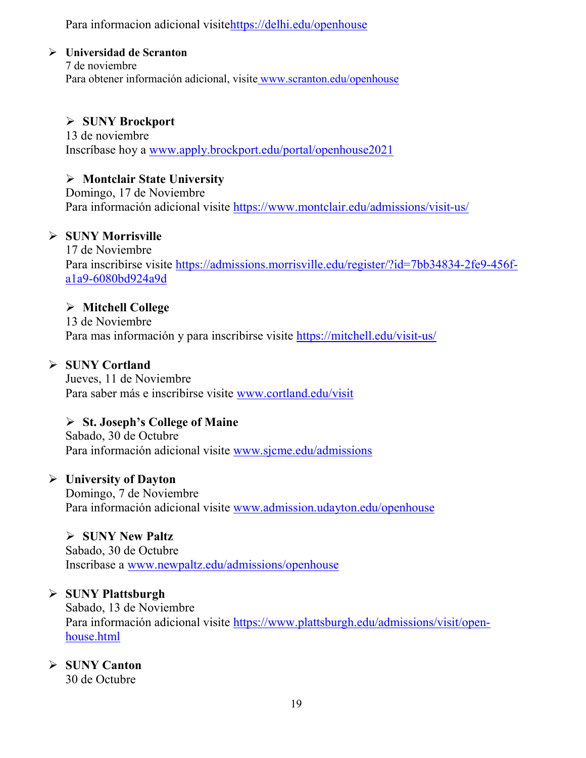Para informacion adicional visit[ehttps://delhi.edu/openhouse](https://delhi.edu/openhouse)

### **Universidad de Scranton**

7 de noviembre Para obtener información adicional, visite [www.scranton.edu/openhouse](http://www.scranton.edu/openhouse)

### **SUNY Brockport**

13 de noviembre Inscríbase hoy a [www.apply.brockport.edu/portal/openhouse2021](http://www.apply.brockport.edu/portal/openhouse2021)

### **Montclair State University**

Domingo, 17 de Noviembre Para información adicional visite<https://www.montclair.edu/admissions/visit-us/>

### **SUNY Morrisville**

17 de Noviembre Para inscribirse visite [https://admissions.morrisville.edu/register/?id=7bb34834-2fe9-456f](https://admissions.morrisville.edu/register/?id=7bb34834-2fe9-456f-a1a9-6080bd924a9d)[a1a9-6080bd924a9d](https://admissions.morrisville.edu/register/?id=7bb34834-2fe9-456f-a1a9-6080bd924a9d)

### **Mitchell College**

13 de Noviembre Para mas información y para inscribirse visite<https://mitchell.edu/visit-us/>

### **SUNY Cortland**

Jueves, 11 de Noviembre Para saber más e inscribirse visite [www.cortland.edu/visit](http://www.cortland.edu/visit)

### **St. Joseph's College of Maine**

Sabado, 30 de Octubre Para información adicional visite [www.sjcme.edu/admissions](http://www.sjcme.edu/admissions) 

### **University of Dayton**

Domingo, 7 de Noviembre Para información adicional visite [www.admission.udayton.edu/openhouse](http://www.admission.udayton.edu/openhouse)

### **SUNY New Paltz**

Sabado, 30 de Octubre Inscribase a [www.newpaltz.edu/admissions/openhouse](http://www.newpaltz.edu/admissions/openhouse)

### **SUNY Plattsburgh**

Sabado, 13 de Noviembre Para información adicional visite [https://www.plattsburgh.edu/admissions/visit/open](https://www.plattsburgh.edu/admissions/visit/open-house.html)[house.html](https://www.plattsburgh.edu/admissions/visit/open-house.html)

### **SUNY Canton**

30 de Octubre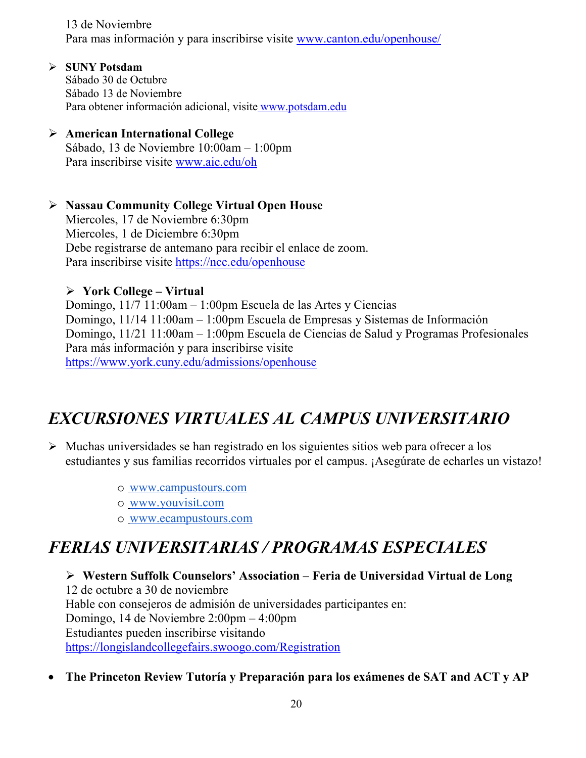13 de Noviembre Para mas información y para inscribirse visite [www.canton.edu/openhouse/](http://www.canton.edu/openhouse/)

**SUNY Potsdam**

Sábado 30 de Octubre Sábado 13 de Noviembre Para obtener información adicional, visite [www.potsdam.edu](http://www.potsdam.edu/)

### **American International College**

Sábado, 13 de Noviembre 10:00am – 1:00pm Para inscribirse visite [www.aic.edu/oh](http://www.aic.edu/oh)

### **Nassau Community College Virtual Open House**

Miercoles, 17 de Noviembre 6:30pm Miercoles, 1 de Diciembre 6:30pm Debe registrarse de antemano para recibir el enlace de zoom. Para inscribirse visite <https://ncc.edu/openhouse>

### **York College – Virtual**

Domingo, 11/7 11:00am – 1:00pm Escuela de las Artes y Ciencias Domingo, 11/14 11:00am – 1:00pm Escuela de Empresas y Sistemas de Información Domingo, 11/21 11:00am – 1:00pm Escuela de Ciencias de Salud y Programas Profesionales Para más información y para inscribirse visite <https://www.york.cuny.edu/admissions/openhouse>

# *EXCURSIONES VIRTUALES AL CAMPUS UNIVERSITARIO*

- $\triangleright$  Muchas universidades se han registrado en los siguientes sitios web para ofrecer a los estudiantes y sus familias recorridos virtuales por el campus. ¡Asegúrate de echarles un vistazo!
	- o [www.campustours.com](http://www.campustours.com/)
	- o [www.youvisit.com](http://www.youvisit.com/)
	- o [www.ecampustours.com](http://www.ecampustours.com/)

# *FERIAS UNIVERSITARIAS / PROGRAMAS ESPECIALES*

 **Western Suffolk Counselors' Association – Feria de Universidad Virtual de Long**  12 de octubre a 30 de noviembre Hable con consejeros de admisión de universidades participantes en: Domingo, 14 de Noviembre 2:00pm – 4:00pm Estudiantes pueden inscribirse visitando <https://longislandcollegefairs.swoogo.com/Registration>

• **The Princeton Review Tutoría y Preparación para los exámenes de SAT and ACT y AP**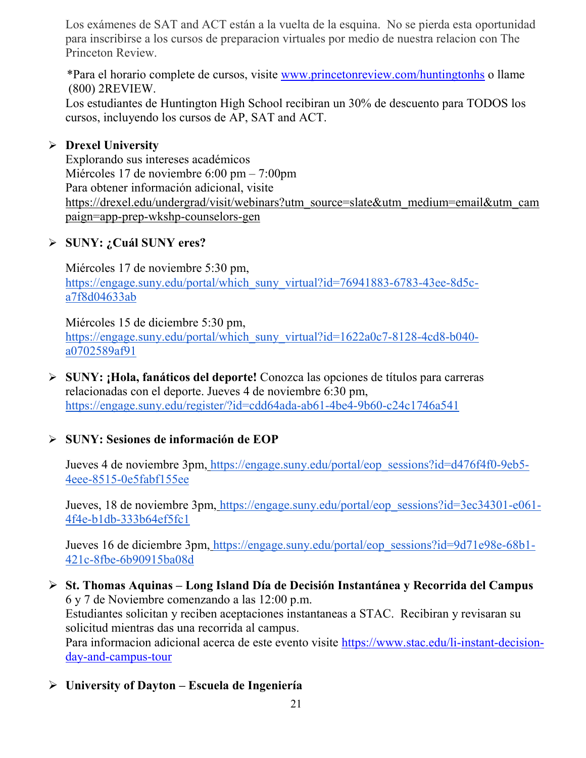Los exámenes de SAT and ACT están a la vuelta de la esquina. No se pierda esta oportunidad para inscribirse a los cursos de preparacion virtuales por medio de nuestra relacion con The Princeton Review.

 \*Para el horario complete de cursos, visite [www.princetonreview.com/huntingtonhs](http://www.princetonreview.com/huntingtonhs) o llame (800) 2REVIEW.

Los estudiantes de Huntington High School recibiran un 30% de descuento para TODOS los cursos, incluyendo los cursos de AP, SAT and ACT.

### **Drexel University**

Explorando sus intereses académicos Miércoles 17 de noviembre 6:00 pm – 7:00pm Para obtener información adicional, visit[e](https://drexel.edu/undergrad/visit/webinars?utm_source=slate&utm_medium=email&utm_campaign=app-prep-wkshp-counselors-gen) [https://drexel.edu/undergrad/visit/webinars?utm\\_source=slate&utm\\_medium=email&utm\\_cam](https://drexel.edu/undergrad/visit/webinars?utm_source=slate&utm_medium=email&utm_campaign=app-prep-wkshp-counselors-gen) [paign=app-prep-wkshp-counselors-gen](https://drexel.edu/undergrad/visit/webinars?utm_source=slate&utm_medium=email&utm_campaign=app-prep-wkshp-counselors-gen)

### **SUNY: ¿Cuál SUNY eres?**

Miércoles 17 de noviembre 5:30 pm[,](https://engage.suny.edu/portal/which_suny_virtual?id=76941883-6783-43ee-8d5c-a7f8d04633ab) [https://engage.suny.edu/portal/which\\_suny\\_virtual?id=76941883-6783-43ee-8d5c](https://engage.suny.edu/portal/which_suny_virtual?id=76941883-6783-43ee-8d5c-a7f8d04633ab)[a7f8d04633ab](https://engage.suny.edu/portal/which_suny_virtual?id=76941883-6783-43ee-8d5c-a7f8d04633ab)

Miércoles 15 de diciembre 5:30 pm[,](https://engage.suny.edu/portal/which_suny_virtual?id=1622a0c7-8128-4cd8-b040-a0702589af91) [https://engage.suny.edu/portal/which\\_suny\\_virtual?id=1622a0c7-8128-4cd8-b040](https://engage.suny.edu/portal/which_suny_virtual?id=1622a0c7-8128-4cd8-b040-a0702589af91) [a0702589af91](https://engage.suny.edu/portal/which_suny_virtual?id=1622a0c7-8128-4cd8-b040-a0702589af91)

 **SUNY: ¡Hola, fanáticos del deporte!** Conozca las opciones de títulos para carreras relacionadas con el deporte. Jueves 4 de noviembre 6:30 pm[,](https://engage.suny.edu/register/?id=cdd64ada-ab61-4be4-9b60-c24c1746a541) <https://engage.suny.edu/register/?id=cdd64ada-ab61-4be4-9b60-c24c1746a541>

### **SUNY: Sesiones de información de EOP**

Jueves 4 de noviembre 3pm, [https://engage.suny.edu/portal/eop\\_sessions?id=d476f4f0-9eb5-](https://engage.suny.edu/portal/eop_sessions?id=d476f4f0-9eb5-4eee-8515-0e5fabf155ee) [4eee-8515-0e5fabf155ee](https://engage.suny.edu/portal/eop_sessions?id=d476f4f0-9eb5-4eee-8515-0e5fabf155ee)

Jueves, 18 de noviembre 3pm, [https://engage.suny.edu/portal/eop\\_sessions?id=3ec34301-e061-](https://engage.suny.edu/portal/eop_sessions?id=3ec34301-e061-4f4e-b1db-333b64ef5fc1) [4f4e-b1db-333b64ef5fc1](https://engage.suny.edu/portal/eop_sessions?id=3ec34301-e061-4f4e-b1db-333b64ef5fc1)

Jueves 16 de diciembre 3pm, [https://engage.suny.edu/portal/eop\\_sessions?id=9d71e98e-68b1-](https://engage.suny.edu/portal/eop_sessions?id=9d71e98e-68b1-421c-8fbe-6b90915ba08d) [421c-8fbe-6b90915ba08d](https://engage.suny.edu/portal/eop_sessions?id=9d71e98e-68b1-421c-8fbe-6b90915ba08d)

- **St. Thomas Aquinas – Long Island Día de Decisión Instantánea y Recorrida del Campus** 6 y 7 de Noviembre comenzando a las 12:00 p.m. Estudiantes solicitan y reciben aceptaciones instantaneas a STAC. Recibiran y revisaran su solicitud mientras das una recorrida al campus. Para informacion adicional acerca de este evento visite [https://www.stac.edu/li-instant-decision](https://www.stac.edu/li-instant-decision-day-and-campus-tour)[day-and-campus-tour](https://www.stac.edu/li-instant-decision-day-and-campus-tour)
- **University of Dayton – Escuela de Ingeniería**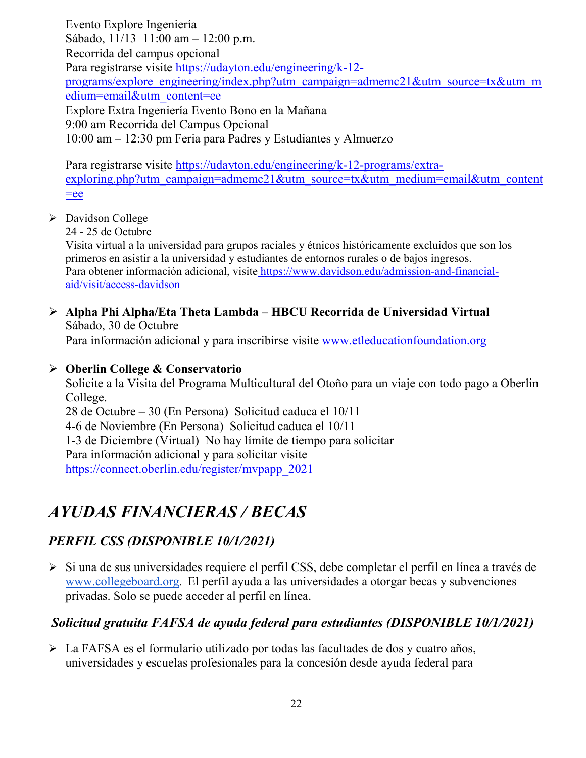Evento Explore Ingeniería Sábado, 11/13 11:00 am – 12:00 p.m. Recorrida del campus opcional Para registrarse visite [https://udayton.edu/engineering/k-12](https://udayton.edu/engineering/k-12-programs/explore_engineering/index.php?utm_campaign=admemc21&utm_source=tx&utm_medium=email&utm_content=ee) [programs/explore\\_engineering/index.php?utm\\_campaign=admemc21&utm\\_source=tx&utm\\_m](https://udayton.edu/engineering/k-12-programs/explore_engineering/index.php?utm_campaign=admemc21&utm_source=tx&utm_medium=email&utm_content=ee) [edium=email&utm\\_content=ee](https://udayton.edu/engineering/k-12-programs/explore_engineering/index.php?utm_campaign=admemc21&utm_source=tx&utm_medium=email&utm_content=ee) Explore Extra Ingeniería Evento Bono en la Mañana 9:00 am Recorrida del Campus Opcional 10:00 am – 12:30 pm Feria para Padres y Estudiantes y Almuerzo

Para registrarse visite [https://udayton.edu/engineering/k-12-programs/extra](https://udayton.edu/engineering/k-12-programs/extra-exploring.php?utm_campaign=admemc21&utm_source=tx&utm_medium=email&utm_content=ee)[exploring.php?utm\\_campaign=admemc21&utm\\_source=tx&utm\\_medium=email&utm\\_content](https://udayton.edu/engineering/k-12-programs/extra-exploring.php?utm_campaign=admemc21&utm_source=tx&utm_medium=email&utm_content=ee)  $=$ ee

### Davidson College

24 - 25 de Octubre

Visita virtual a la universidad para grupos raciales y étnicos históricamente excluidos que son los primeros en asistir a la universidad y estudiantes de entornos rurales o de bajos ingresos. Para obtener información adicional, visite [https://www.davidson.edu/admission-and-financial](https://www.davidson.edu/admission-and-financial-aid/visit/access-davidson)[aid/visit/access-davidson](https://www.davidson.edu/admission-and-financial-aid/visit/access-davidson)

### **Alpha Phi Alpha/Eta Theta Lambda – HBCU Recorrida de Universidad Virtual** Sábado, 30 de Octubre

Para información adicional y para inscribirse visite [www.etleducationfoundation.org](http://www.etleducationfoundation.org/)

### **Oberlin College & Conservatorio**

Solicite a la Visita del Programa Multicultural del Otoño para un viaje con todo pago a Oberlin College. 28 de Octubre – 30 (En Persona) Solicitud caduca el 10/11

4-6 de Noviembre (En Persona) Solicitud caduca el 10/11

1-3 de Diciembre (Virtual) No hay límite de tiempo para solicitar

Para información adicional y para solicitar visite

[https://connect.oberlin.edu/register/mvpapp\\_2021](https://connect.oberlin.edu/register/mvpapp_2021)

### *AYUDAS FINANCIERAS / BECAS*

### *PERFIL CSS (DISPONIBLE 10/1/2021)*

Si una d[e](http://www.collegeboard.org/) sus universidades requiere el perfil CSS, debe completar el perfil en línea a través de [www.collegeboard.org.](http://www.collegeboard.org/) El perfil ayuda a las universidades a otorgar becas y subvenciones privadas. Solo se puede acceder al perfil en línea.

### *Solicitud gratuita FAFSA de ayuda federal para estudiantes (DISPONIBLE 10/1/2021)*

 La FAFSA es el formulario utilizado por todas las facultades de dos y cuatro años, universidades y escuelas profesionales para la concesión desde [ayuda federal para](http://studentaid.ed.gov/students/publications/student_guide/2010-2011/english/typesofFSA_grants.htm)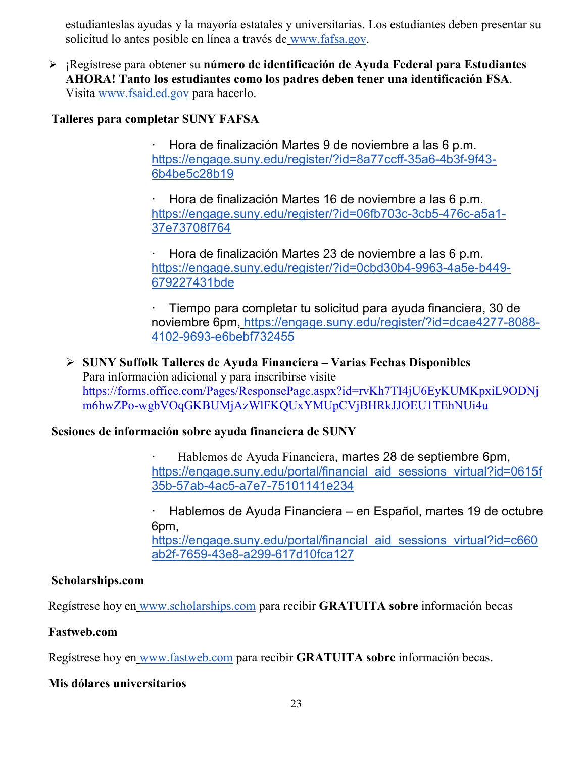[estudianteslas ayudas](http://studentaid.ed.gov/students/publications/student_guide/2010-2011/english/typesofFSA_grants.htm) y la mayoría estatales y universitarias. Los estudiantes deben presentar su solicitud lo antes posible en línea a través de [www.fafsa.gov.](http://www.fafsa.gov/)

 ¡Regístrese para obtener su **número de identificación de Ayuda Federal para Estudiantes AHORA! Tanto los estudiantes como los padres deben tener una identificación FSA**. Visita [www.fsaid.ed.gov](http://www.fsaid.ed.gov/) para hacerlo.

### **Talleres para completar SUNY FAFSA**

· Hora de finalización Martes 9 de noviembre a las 6 p.m[.](https://engage.suny.edu/register/?id=8a77ccff-35a6-4b3f-9f43-6b4be5c28b19) [https://engage.suny.edu/register/?id=8a77ccff-35a6-4b3f-9f43-](https://engage.suny.edu/register/?id=8a77ccff-35a6-4b3f-9f43-6b4be5c28b19) [6b4be5c28b19](https://engage.suny.edu/register/?id=8a77ccff-35a6-4b3f-9f43-6b4be5c28b19)

· Hora de finalización Martes 16 de noviembre a las 6 p.m[.](https://engage.suny.edu/register/?id=06fb703c-3cb5-476c-a5a1-37e73708f764) [https://engage.suny.edu/register/?id=06fb703c-3cb5-476c-a5a1-](https://engage.suny.edu/register/?id=06fb703c-3cb5-476c-a5a1-37e73708f764) [37e73708f764](https://engage.suny.edu/register/?id=06fb703c-3cb5-476c-a5a1-37e73708f764)

· Hora de finalización Martes 23 de noviembre a las 6 p.m[.](https://engage.suny.edu/register/?id=0cbd30b4-9963-4a5e-b449-679227431bde) [https://engage.suny.edu/register/?id=0cbd30b4-9963-4a5e-b449-](https://engage.suny.edu/register/?id=0cbd30b4-9963-4a5e-b449-679227431bde) [679227431bde](https://engage.suny.edu/register/?id=0cbd30b4-9963-4a5e-b449-679227431bde)

· Tiempo para completar tu solicitud para ayuda financiera, 30 de noviembre 6pm, [https://engage.suny.edu/register/?id=dcae4277-8088-](https://engage.suny.edu/register/?id=dcae4277-8088-4102-9693-e6bebf732455) [4102-9693-e6bebf732455](https://engage.suny.edu/register/?id=dcae4277-8088-4102-9693-e6bebf732455)

 **SUNY Suffolk Talleres de Ayuda Financiera – Varias Fechas Disponibles** Para información adicional y para inscribirse visite [https://forms.office.com/Pages/ResponsePage.aspx?id=rvKh7TI4jU6EyKUMKpxiL9ODNj](https://forms.office.com/Pages/ResponsePage.aspx?id=rvKh7TI4jU6EyKUMKpxiL9ODNjm6hwZPo-wgbVOqGKBUMjAzWlFKQUxYMUpCVjBHRkJJOEU1TEhNUi4u) [m6hwZPo-wgbVOqGKBUMjAzWlFKQUxYMUpCVjBHRkJJOEU1TEhNUi4u](https://forms.office.com/Pages/ResponsePage.aspx?id=rvKh7TI4jU6EyKUMKpxiL9ODNjm6hwZPo-wgbVOqGKBUMjAzWlFKQUxYMUpCVjBHRkJJOEU1TEhNUi4u)

### **Sesiones de información sobre ayuda financiera de SUNY**

· Hablemos de Ayuda Financiera, martes 28 de septiembre 6pm[,](https://engage.suny.edu/portal/financial_aid_sessions_virtual?id=0615f35b-57ab-4ac5-a7e7-75101141e234) [https://engage.suny.edu/portal/financial\\_aid\\_sessions\\_virtual?id=0615f](https://engage.suny.edu/portal/financial_aid_sessions_virtual?id=0615f35b-57ab-4ac5-a7e7-75101141e234) [35b-57ab-4ac5-a7e7-75101141e234](https://engage.suny.edu/portal/financial_aid_sessions_virtual?id=0615f35b-57ab-4ac5-a7e7-75101141e234)

· Hablemos de Ayuda Financiera – en Español, martes 19 de octubre 6pm[,](https://engage.suny.edu/portal/financial_aid_sessions_virtual?id=c660ab2f-7659-43e8-a299-617d10fca127) https://engage.suny.edu/portal/financial aid sessions virtual?id=c660 [ab2f-7659-43e8-a299-617d10fca127](https://engage.suny.edu/portal/financial_aid_sessions_virtual?id=c660ab2f-7659-43e8-a299-617d10fca127)

### **Scholarships.com**

Regístrese hoy en [www.scholarships.com](http://www.scholarships.com/) para recibir **GRATUITA sobre** información becas

### **Fastweb.com**

Regístrese hoy en [www.fastweb.com](http://www.fastweb.com/) para recibir **GRATUITA sobre** información becas.

### **Mis dólares universitarios**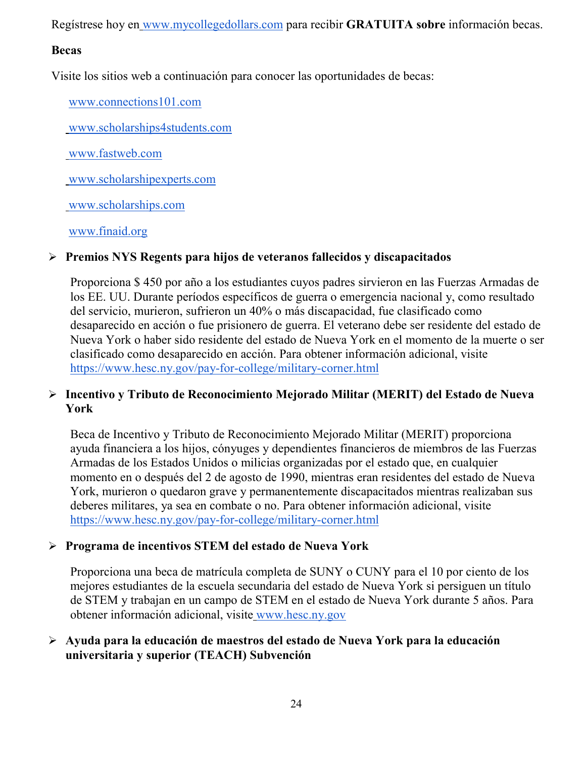Regístrese hoy en [www.mycollegedollars.com](http://www.mycollegedollars.com/) para recibir **GRATUITA sobre** información becas.

### **Becas**

Visite los sitios web a continuación para conocer las oportunidades de becas:

[www.connections101.com](http://www.connections101.com/)

[www.scholarships4students.com](http://www.scholarships4students.com/)

[www.fastweb.com](http://www.fastweb.com/)

[www.scholarshipexperts.com](http://www.scholarshipexperts.com/)

[www.scholarships.com](http://www.scholarships.com/)

[www.finaid.org](http://www.finaid.org/)

### **Premios NYS Regents para hijos de veteranos fallecidos y discapacitados**

Proporciona \$ 450 por año a los estudiantes cuyos padres sirvieron en las Fuerzas Armadas de los EE. UU. Durante períodos específicos de guerra o emergencia nacional y, como resultado del servicio, murieron, sufrieron un 40% o más discapacidad, fue clasificado como desaparecido en acción o fue prisionero de guerra. El veterano debe ser residente del estado de Nueva York o haber sido residente del estado de Nueva York en el momento de la muerte o ser clasificado como desaparecido en acción. Para obtener información adicional, visit[e](https://www.hesc.ny.gov/pay-for-college/military-corner.html) <https://www.hesc.ny.gov/pay-for-college/military-corner.html>

### **Incentivo y Tributo de Reconocimiento Mejorado Militar (MERIT) del Estado de Nueva York**

Beca de Incentivo y Tributo de Reconocimiento Mejorado Militar (MERIT) proporciona ayuda financiera a los hijos, cónyuges y dependientes financieros de miembros de las Fuerzas Armadas de los Estados Unidos o milicias organizadas por el estado que, en cualquier momento en o después del 2 de agosto de 1990, mientras eran residentes del estado de Nueva York, murieron o quedaron grave y permanentemente discapacitados mientras realizaban sus deberes militares, ya sea en combate o no. Para obtener información adicional, visit[e](https://www.hesc.ny.gov/pay-for-college/military-corner.html) <https://www.hesc.ny.gov/pay-for-college/military-corner.html>

### **Programa de incentivos STEM del estado de Nueva York**

Proporciona una beca de matrícula completa de SUNY o CUNY para el 10 por ciento de los mejores estudiantes de la escuela secundaria del estado de Nueva York si persiguen un título de STEM y trabajan en un campo de STEM en el estado de Nueva York durante 5 años. Para obtener información adicional, visite [www.hesc.ny.gov](http://www.hesc.ny.gov/)

### **Ayuda para la educación de maestros del estado de Nueva York para la educación universitaria y superior (TEACH) Subvención**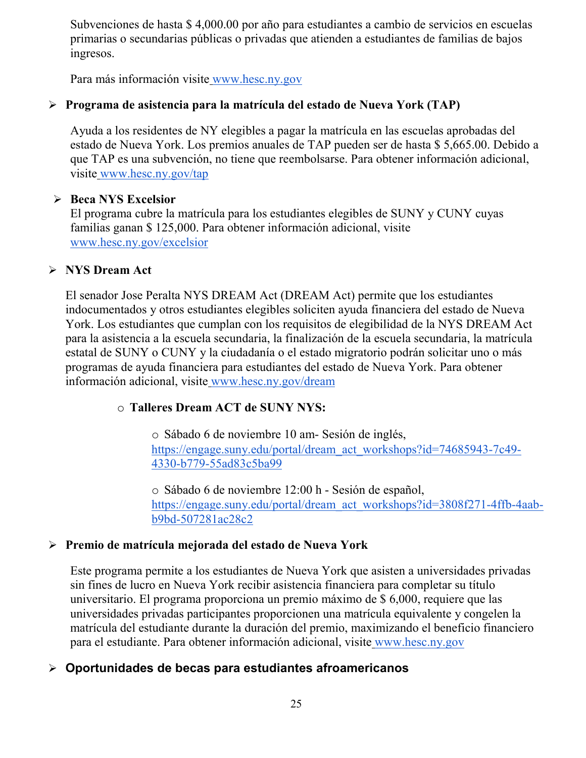Subvenciones de hasta \$ 4,000.00 por año para estudiantes a cambio de servicios en escuelas primarias o secundarias públicas o privadas que atienden a estudiantes de familias de bajos ingresos.

Para más información visite [www.hesc.ny.gov](http://www.hesc.ny.gov/) 

### **Programa de asistencia para la matrícula del estado de Nueva York (TAP)**

Ayuda a los residentes de NY elegibles a pagar la matrícula en las escuelas aprobadas del estado de Nueva York. Los premios anuales de TAP pueden ser de hasta \$ 5,665.00. Debido a que TAP es una subvención, no tiene que reembolsarse. Para obtener información adicional, visite [www.hesc.ny.gov/tap](http://www.hesc.ny.gov/tap)

### **Beca NYS Excelsior**

El programa cubre la matrícula para los estudiantes elegibles de SUNY y CUNY cuyas familias ganan \$ 125,000. Para obtener información adicional, visit[e](http://www.hesc.ny.gov/) [www.hesc.ny.gov/](http://www.hesc.ny.gov/)excelsior

### **NYS Dream Act**

El senador Jose Peralta NYS DREAM Act (DREAM Act) permite que los estudiantes indocumentados y otros estudiantes elegibles soliciten ayuda financiera del estado de Nueva York. Los estudiantes que cumplan con los requisitos de elegibilidad de la NYS DREAM Act para la asistencia a la escuela secundaria, la finalización de la escuela secundaria, la matrícula estatal de SUNY o CUNY y la ciudadanía o el estado migratorio podrán solicitar uno o más programas de ayuda financiera para estudiantes del estado de Nueva York. Para obtener información adicional, visite [www.hesc.ny.gov/dream](http://www.hesc.ny.gov/dream)

### o **Talleres Dream ACT de SUNY NYS:**

o Sábado 6 de noviembre 10 am- Sesión de inglés[,](https://engage.suny.edu/portal/dream_act_workshops?id=74685943-7c49-4330-b779-55ad83c5ba99) [https://engage.suny.edu/portal/dream\\_act\\_workshops?id=74685943-7c49-](https://engage.suny.edu/portal/dream_act_workshops?id=74685943-7c49-4330-b779-55ad83c5ba99) [4330-b779-55ad83c5ba99](https://engage.suny.edu/portal/dream_act_workshops?id=74685943-7c49-4330-b779-55ad83c5ba99)

o Sábado 6 de noviembre 12:00 h - Sesión de español[,](https://engage.suny.edu/portal/dream_act_workshops?id=3808f271-4ffb-4aab-b9bd-507281ac28c2) [https://engage.suny.edu/portal/dream\\_act\\_workshops?id=3808f271-4ffb-4aab](https://engage.suny.edu/portal/dream_act_workshops?id=3808f271-4ffb-4aab-b9bd-507281ac28c2)[b9bd-507281ac28c2](https://engage.suny.edu/portal/dream_act_workshops?id=3808f271-4ffb-4aab-b9bd-507281ac28c2)

### **Premio de matrícula mejorada del estado de Nueva York**

Este programa permite a los estudiantes de Nueva York que asisten a universidades privadas sin fines de lucro en Nueva York recibir asistencia financiera para completar su título universitario. El programa proporciona un premio máximo de \$ 6,000, requiere que las universidades privadas participantes proporcionen una matrícula equivalente y congelen la matrícula del estudiante durante la duración del premio, maximizando el beneficio financiero para el estudiante. Para obtener información adicional, visite [www.hesc.ny.gov](http://www.hesc.ny.gov/)

### **Oportunidades de becas para estudiantes afroamericanos**